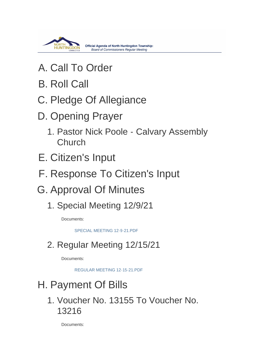

- A. Call To Order
- **B. Roll Call**
- C. Pledge Of Allegiance
- D. Opening Prayer
	- 1. Pastor Nick Poole Calvary Assembly Church
- E. Citizen's Input
- F. Response To Citizen's Input
- G. Approval Of Minutes
	- 1. Special Meeting 12/9/21

Documents:

[SPECIAL MEETING 12-9-21.PDF](https://www.township.north-huntingdon.pa.us/AgendaCenter/ViewFile/Item/3693?fileID=3113)

## 2. Regular Meeting 12/15/21

Documents:

[REGULAR MEETING 12-15-21.PDF](https://www.township.north-huntingdon.pa.us/AgendaCenter/ViewFile/Item/3694?fileID=3114)

# H. Payment Of Bills

1. Voucher No. 13155 To Voucher No. 13216

Documents: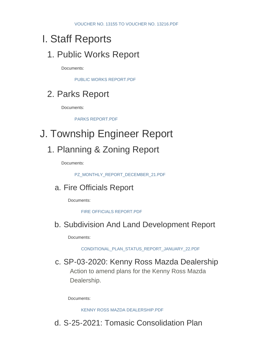## Staff Reports I.

### 1. Public Works Report

Documents:

[PUBLIC WORKS REPORT.PDF](https://www.township.north-huntingdon.pa.us/AgendaCenter/ViewFile/Item/3695?fileID=3115)

## 2. Parks Report

Documents:

[PARKS REPORT.PDF](https://www.township.north-huntingdon.pa.us/AgendaCenter/ViewFile/Item/3696?fileID=3116)

## J. Township Engineer Report

### 1. Planning & Zoning Report

Documents:

[PZ\\_MONTHLY\\_REPORT\\_DECEMBER\\_21.PDF](https://www.township.north-huntingdon.pa.us/AgendaCenter/ViewFile/Item/3697?fileID=3117)

#### a. Fire Officials Report

Documents:

[FIRE OFFICIALS REPORT.PDF](https://www.township.north-huntingdon.pa.us/AgendaCenter/ViewFile/Item/3703?fileID=3123)

#### b. Subdivision And Land Development Report

Documents:

[CONDITIONAL\\_PLAN\\_STATUS\\_REPORT\\_JANUARY\\_22.PDF](https://www.township.north-huntingdon.pa.us/AgendaCenter/ViewFile/Item/3698?fileID=3118)

#### c. SP-03-2020: Kenny Ross Mazda Dealership

Action to amend plans for the Kenny Ross Mazda Dealership.

Documents:

[KENNY ROSS MAZDA DEALERSHIP.PDF](https://www.township.north-huntingdon.pa.us/AgendaCenter/ViewFile/Item/3700?fileID=3120)

### d. S-25-2021: Tomasic Consolidation Plan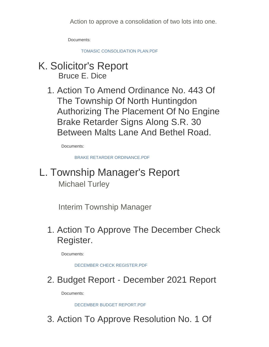Action to approve a consolidation of two lots into one.

Documents:

[TOMASIC CONSOLIDATION PLAN.PDF](https://www.township.north-huntingdon.pa.us/AgendaCenter/ViewFile/Item/3701?fileID=3121)

- K. Solicitor's Report Bruce E. Dice
	- 1. Action To Amend Ordinance No. 443 Of The Township Of North Huntingdon Authorizing The Placement Of No Engine Brake Retarder Signs Along S.R. 30 Between Malts Lane And Bethel Road.

Documents:

[BRAKE RETARDER ORDINANCE.PDF](https://www.township.north-huntingdon.pa.us/AgendaCenter/ViewFile/Item/3699?fileID=3119)

L. Township Manager's Report Michael Turley

Interim Township Manager

1. Action To Approve The December Check Register.

Documents:

[DECEMBER CHECK REGISTER.PDF](https://www.township.north-huntingdon.pa.us/AgendaCenter/ViewFile/Item/3704?fileID=3124)

2. Budget Report - December 2021 Report

Documents:

DECEMBER BUDGET REPORT PDF

3. Action To Approve Resolution No. 1 Of